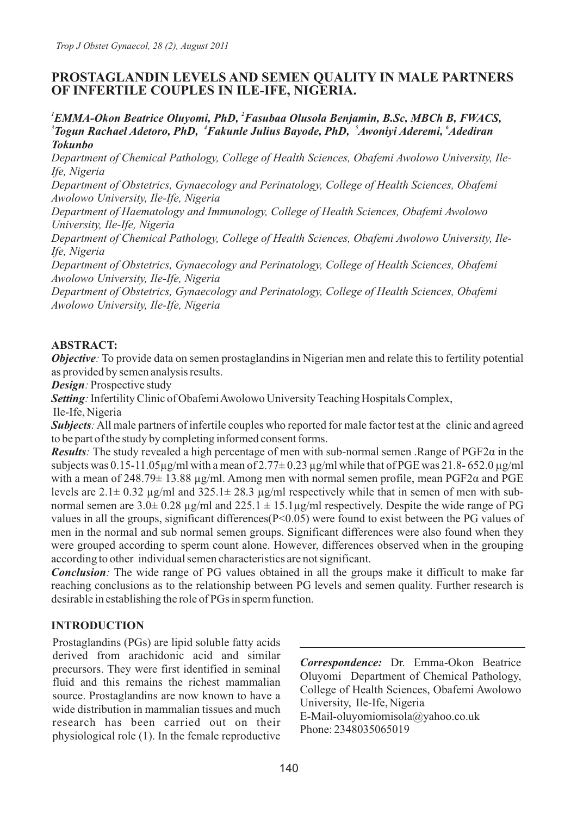# **PROSTAGLANDIN LEVELS AND SEMEN QUALITY IN MALE PARTNERS OF INFERTILE COUPLES IN ILE-IFE, NIGERIA.**

#### *<sup>1</sup>EMMA-Okon Beatrice Oluyomi, PhD, <sup>2</sup>Fasubaa Olusola Benjamin, B.Sc, MBCh B, FWACS,*  <sup>3</sup> Togun Rachael Adetoro, PhD, <sup>4</sup>Fakunle Julius Bayode, PhD, <sup>5</sup>Awoniyi Aderemi, <sup>6</sup>Adediran *Tokunbo*

*Department of Chemical Pathology, College of Health Sciences, Obafemi Awolowo University, Ile-Ife, Nigeria*

*Department of Obstetrics, Gynaecology and Perinatology, College of Health Sciences, Obafemi Awolowo University, Ile-Ife, Nigeria*

*Department of Haematology and Immunology, College of Health Sciences, Obafemi Awolowo University, Ile-Ife, Nigeria*

*Department of Chemical Pathology, College of Health Sciences, Obafemi Awolowo University, Ile-Ife, Nigeria*

*Department of Obstetrics, Gynaecology and Perinatology, College of Health Sciences, Obafemi Awolowo University, Ile-Ife, Nigeria*

*Department of Obstetrics, Gynaecology and Perinatology, College of Health Sciences, Obafemi Awolowo University, Ile-Ife, Nigeria*

## **ABSTRACT:**

*Objective*: To provide data on semen prostaglandins in Nigerian men and relate this to fertility potential as provided by semen analysis results.

*Design:* Prospective study

*Setting*: Infertility Clinic of Obafemi Awolowo University Teaching Hospitals Complex,

Ile-Ife, Nigeria

*Subjects*: All male partners of infertile couples who reported for male factor test at the clinic and agreed to be part of the study by completing informed consent forms.

*Results*: The study revealed a high percentage of men with sub-normal semen .Range of  $PGF2\alpha$  in the subjects was 0.15-11.05 $\mu$ g/ml with a mean of 2.77 $\pm$  0.23  $\mu$ g/ml while that of PGE was 21.8- 652.0  $\mu$ g/ml with a mean of 248.79 $\pm$  13.88 µg/ml. Among men with normal semen profile, mean PGF2 $\alpha$  and PGE levels are  $2.1\pm 0.32$  µg/ml and  $325.1\pm 28.3$  µg/ml respectively while that in semen of men with subnormal semen are  $3.0\pm 0.28$  µg/ml and  $225.1 \pm 15.1$ µg/ml respectively. Despite the wide range of PG values in all the groups, significant differences(P<0.05) were found to exist between the PG values of men in the normal and sub normal semen groups. Significant differences were also found when they were grouped according to sperm count alone. However, differences observed when in the grouping according to other individual semen characteristics are not significant.

*Conclusion*: The wide range of PG values obtained in all the groups make it difficult to make far reaching conclusions as to the relationship between PG levels and semen quality. Further research is desirable in establishing the role of PGs in sperm function.

# **INTRODUCTION**

Prostaglandins (PGs) are lipid soluble fatty acids derived from arachidonic acid and similar precursors. They were first identified in seminal fluid and this remains the richest mammalian source. Prostaglandins are now known to have a wide distribution in mammalian tissues and much research has been carried out on their physiological role (1). In the female reproductive

*Correspondence:* Dr. Emma-Okon Beatrice Oluyomi Department of Chemical Pathology, College of Health Sciences, Obafemi Awolowo University, Ile-Ife, Nigeria E-Mail-oluyomiomisola@yahoo.co.uk Phone: 2348035065019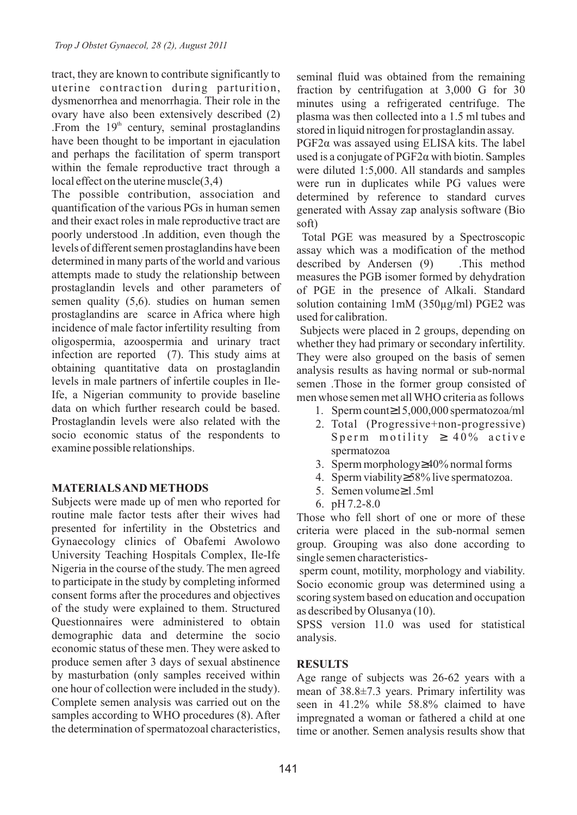tract, they are known to contribute significantly to uterine contraction during parturition, dysmenorrhea and menorrhagia. Their role in the ovary have also been extensively described (2) .From the  $19<sup>th</sup>$  century, seminal prostaglandins have been thought to be important in ejaculation and perhaps the facilitation of sperm transport within the female reproductive tract through a local effect on the uterine muscle(3,4)

The possible contribution, association and quantification of the various PGs in human semen and their exact roles in male reproductive tract are poorly understood .In addition, even though the levels of different semen prostaglandins have been determined in many parts of the world and various attempts made to study the relationship between prostaglandin levels and other parameters of semen quality (5,6). studies on human semen prostaglandins are scarce in Africa where high incidence of male factor infertility resulting from oligospermia, azoospermia and urinary tract infection are reported (7). This study aims at obtaining quantitative data on prostaglandin levels in male partners of infertile couples in Ile-Ife, a Nigerian community to provide baseline data on which further research could be based. Prostaglandin levels were also related with the socio economic status of the respondents to examine possible relationships.

### **MATERIALS AND METHODS**

Subjects were made up of men who reported for routine male factor tests after their wives had presented for infertility in the Obstetrics and Gynaecology clinics of Obafemi Awolowo University Teaching Hospitals Complex, Ile-Ife Nigeria in the course of the study. The men agreed to participate in the study by completing informed consent forms after the procedures and objectives of the study were explained to them. Structured Questionnaires were administered to obtain demographic data and determine the socio economic status of these men. They were asked to produce semen after 3 days of sexual abstinence by masturbation (only samples received within one hour of collection were included in the study). Complete semen analysis was carried out on the samples according to WHO procedures (8). After the determination of spermatozoal characteristics,

seminal fluid was obtained from the remaining fraction by centrifugation at 3,000 G for 30 minutes using a refrigerated centrifuge. The plasma was then collected into a 1.5 ml tubes and stored in liquid nitrogen for prostaglandin assay.

 $PGF2\alpha$  was assayed using ELISA kits. The label used is a conjugate of  $PGF2\alpha$  with biotin. Samples were diluted 1:5,000. All standards and samples were run in duplicates while PG values were determined by reference to standard curves generated with Assay zap analysis software (Bio soft)

Total PGE was measured by a Spectroscopic assay which was a modification of the method described by Andersen (9) .This method measures the PGB isomer formed by dehydration of PGE in the presence of Alkali. Standard solution containing 1mM (350µg/ml) PGE2 was used for calibration.

Subjects were placed in 2 groups, depending on whether they had primary or secondary infertility. They were also grouped on the basis of semen analysis results as having normal or sub-normal semen .Those in the former group consisted of men whose semen met all WHO criteria as follows

- 1. Sperm count 15,000,000 spermatozoa/ml
- 2. Total (Progressive+non-progressive) Sperm motility  $40\%$  active spermatozoa
- 3. Sperm morphology 40% normal forms
- 4. Sperm viability 58% live spermatozoa.
- 5. Semen volume 1.5ml
- 6. pH 7.2-8.0

Those who fell short of one or more of these criteria were placed in the sub-normal semen group. Grouping was also done according to single semen characteristics-

 sperm count, motility, morphology and viability. Socio economic group was determined using a scoring system based on education and occupation as described by Olusanya (10).

SPSS version 11.0 was used for statistical analysis.

#### **RESULTS**

Age range of subjects was 26-62 years with a mean of 38.8±7.3 years. Primary infertility was seen in 41.2% while 58.8% claimed to have impregnated a woman or fathered a child at one time or another. Semen analysis results show that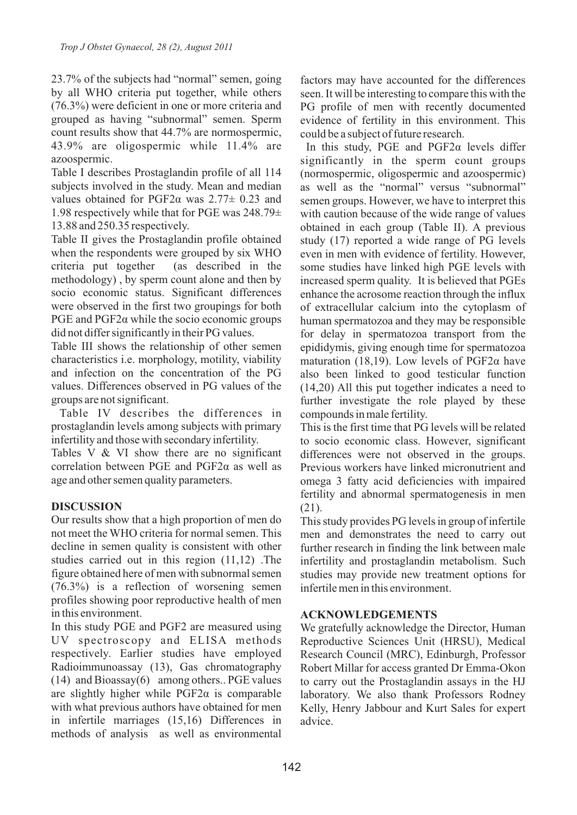23.7% of the subjects had "normal" semen, going by all WHO criteria put together, while others (76.3%) were deficient in one or more criteria and grouped as having "subnormal" semen. Sperm count results show that 44.7% are normospermic, 43.9% are oligospermic while 11.4% are azoospermic.

Table I describes Prostaglandin profile of all 114 subjects involved in the study. Mean and median values obtained for PGF2 $\alpha$  was 2.77 $\pm$  0.23 and 1.98 respectively while that for PGE was 248.79± 13.88 and 250.35 respectively.

Table II gives the Prostaglandin profile obtained when the respondents were grouped by six WHO criteria put together (as described in the methodology) , by sperm count alone and then by socio economic status. Significant differences were observed in the first two groupings for both PGE and  $PGF2\alpha$  while the socio economic groups did not differ significantly in their PG values.

Table III shows the relationship of other semen characteristics i.e. morphology, motility, viability and infection on the concentration of the PG values. Differences observed in PG values of the groups are not significant.

Table IV describes the differences in prostaglandin levels among subjects with primary infertility and those with secondary infertility.

Tables V & VI show there are no significant correlation between PGE and  $PGF2\alpha$  as well as age and other semen quality parameters.

### **DISCUSSION**

Our results show that a high proportion of men do not meet the WHO criteria for normal semen. This decline in semen quality is consistent with other studies carried out in this region (11,12) .The figure obtained here of men with subnormal semen (76.3%) is a reflection of worsening semen profiles showing poor reproductive health of men in this environment.

In this study PGE and PGF2 are measured using UV spectroscopy and ELISA methods respectively. Earlier studies have employed Radioimmunoassay (13), Gas chromatography (14) and Bioassay(6) among others.. PGE values are slightly higher while  $PGF2\alpha$  is comparable with what previous authors have obtained for men in infertile marriages (15,16) Differences in methods of analysis as well as environmental

factors may have accounted for the differences seen. It will be interesting to compare this with the PG profile of men with recently documented evidence of fertility in this environment. This could be a subject of future research.

In this study, PGE and  $PGF2\alpha$  levels differ significantly in the sperm count groups (normospermic, oligospermic and azoospermic) as well as the "normal" versus "subnormal" semen groups. However, we have to interpret this with caution because of the wide range of values obtained in each group (Table II). A previous study (17) reported a wide range of PG levels even in men with evidence of fertility. However, some studies have linked high PGE levels with increased sperm quality. It is believed that PGEs enhance the acrosome reaction through the influx of extracellular calcium into the cytoplasm of human spermatozoa and they may be responsible for delay in spermatozoa transport from the epididymis, giving enough time for spermatozoa maturation (18,19). Low levels of  $PGF2\alpha$  have also been linked to good testicular function (14,20) All this put together indicates a need to further investigate the role played by these compounds in male fertility.

This is the first time that PG levels will be related to socio economic class. However, significant differences were not observed in the groups. Previous workers have linked micronutrient and omega 3 fatty acid deficiencies with impaired fertility and abnormal spermatogenesis in men (21).

This study provides PG levels in group of infertile men and demonstrates the need to carry out further research in finding the link between male infertility and prostaglandin metabolism. Such studies may provide new treatment options for infertile men in this environment.

### **ACKNOWLEDGEMENTS**

We gratefully acknowledge the Director, Human Reproductive Sciences Unit (HRSU), Medical Research Council (MRC), Edinburgh, Professor Robert Millar for access granted Dr Emma-Okon to carry out the Prostaglandin assays in the HJ laboratory. We also thank Professors Rodney Kelly, Henry Jabbour and Kurt Sales for expert advice.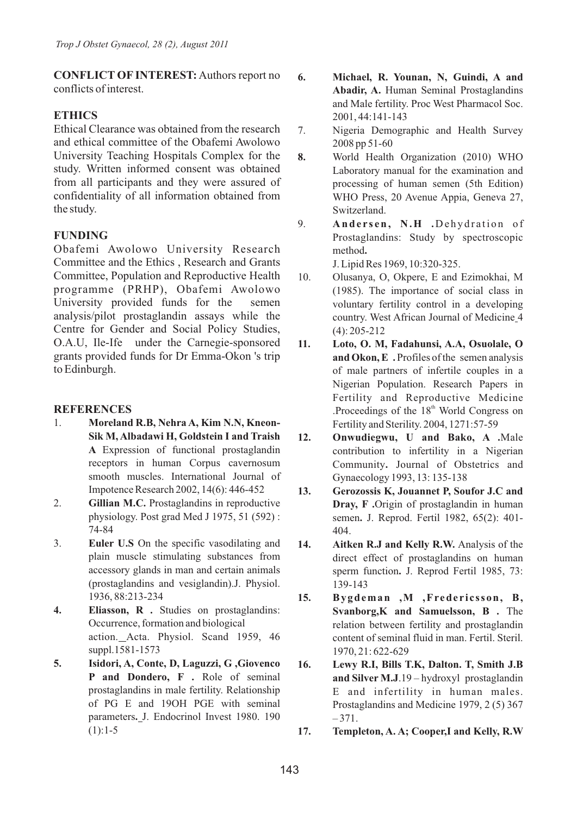**CONFLICT OF INTEREST:** Authors report no conflicts of interest.

## **ETHICS**

Ethical Clearance was obtained from the research and ethical committee of the Obafemi Awolowo University Teaching Hospitals Complex for the study. Written informed consent was obtained from all participants and they were assured of confidentiality of all information obtained from the study.

## **FUNDING**

Obafemi Awolowo University Research Committee and the Ethics , Research and Grants Committee, Population and Reproductive Health programme (PRHP), Obafemi Awolowo University provided funds for the semen analysis/pilot prostaglandin assays while the Centre for Gender and Social Policy Studies, O.A.U, Ile-Ife under the Carnegie-sponsored grants provided funds for Dr Emma-Okon 's trip to Edinburgh.

#### **REFERENCES**

- 1. **Moreland R.B, Nehra A, Kim N.N, Kneon-Sik M, Albadawi H, Goldstein I and Traish A** Expression of functional prostaglandin receptors in human Corpus cavernosum smooth muscles. International Journal of Impotence Research 2002, 14(6): 446-452
- 2. **Gillian M.C.** Prostaglandins in reproductive physiology. Post grad Med J 1975, 51 (592) : 74-84
- 3. **Euler U.S** On the specific vasodilating and plain muscle stimulating substances from accessory glands in man and certain animals (prostaglandins and vesiglandin).J. Physiol. 1936, 88:213-234
- **4. Eliasson, R .** Studies on prostaglandins: Occurrence, formation and biological action. Acta. Physiol. Scand 1959, 46 suppl.1581-1573
- **5. Isidori, A, Conte, D, Laguzzi, G ,Giovenco P and Dondero, F .** Role of seminal prostaglandins in male fertility. Relationship of PG E and 19OH PGE with seminal parameters**.** J. Endocrinol Invest 1980. 190  $(1):1-5$

**6. Michael, R. Younan, N, Guindi, A and Abadir, A.** Human Seminal Prostaglandins and Male fertility. Proc West Pharmacol Soc. 2001, 44:141-143

- 7. Nigeria Demographic and Health Survey 2008 pp 51-60
- **8.** World Health Organization (2010) WHO Laboratory manual for the examination and processing of human semen (5th Edition) WHO Press, 20 Avenue Appia, Geneva 27, Switzerland.
- 9. **Andersen, N.H** .Dehydration of Prostaglandins: Study by spectroscopic method**.**

J. Lipid Res 1969, 10:320-325.

- 10. Olusanya, O, Okpere, E and Ezimokhai, M (1985). The importance of social class in voluntary fertility control in a developing country. West African Journal of Medicine 4 (4): 205-212
- **11. Loto, O. M, Fadahunsi, A.A, Osuolale, O and Okon, E .** Profiles of the semen analysis of male partners of infertile couples in a Nigerian Population. Research Papers in Fertility and Reproductive Medicine .Proceedings of the  $18<sup>th</sup>$  World Congress on Fertility and Sterility. 2004, 1271:57-59
- **12. Onwudiegwu, U and Bako, A .**Male contribution to infertility in a Nigerian Community**.** Journal of Obstetrics and Gynaecology 1993, 13: 135-138
- **13. Gerozossis K, Jouannet P, Soufor J.C and Dray, F .**Origin of prostaglandin in human semen**.** J. Reprod. Fertil 1982, 65(2): 401- 404.
- **14. Aitken R.J and Kelly R.W.** Analysis of the direct effect of prostaglandins on human sperm function**.** J. Reprod Fertil 1985, 73: 139-143
- **15. Bygdeman ,M ,Frede r i c sson, B, Svanborg,K and Samuelsson, B .** The relation between fertility and prostaglandin content of seminal fluid in man. Fertil. Steril. 1970, 21: 622-629
- **16. Lewy R.I, Bills T.K, Dalton. T, Smith J.B and Silver M.J**.19 – hydroxyl prostaglandin E and infertility in human males. Prostaglandins and Medicine 1979, 2 (5) 367  $-371.$
- **17. Templeton, A. A; Cooper,I and Kelly, R.W**